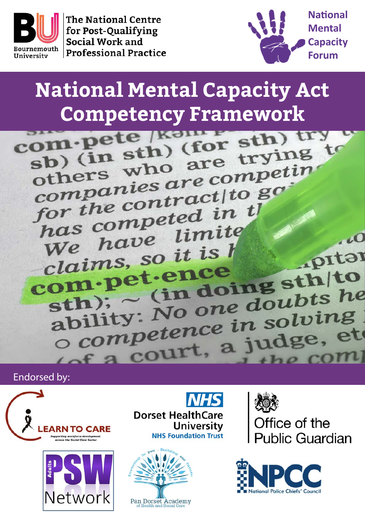

**The National Centre** for Post-Qualifying Social Work and **Professional Practice** 



# **National Mental Capacity Act**

**Competency Framework**<br> **Competency Framework**<br> **Competency (for sth)**<br> **Competency of Start** om-peter (for stn)<br>sb) (in sth) (for trying to<br>others who are competin sp) who are under<br>companies are competin<br>companies aractito go companies are companies<br>for the contract to go for the contruction the<br>has competed in the has competitive<br>We have limite  $\overline{10}$ We have it is h .pitar claims, sence clatmes,<br>om pet ence<br>sth); c (in doing sth to<br>sth); c (in doing doubts he om P (in doing suits he<br>ability: No one doubts he<br>ability: No one in solving ability: No one abupting<br>o competence in solving Endorsed by: Eacourt, a judge, et





**Dorset HealthCare University NHS Foundation Trust** 





Office of the **Public Guardian** 

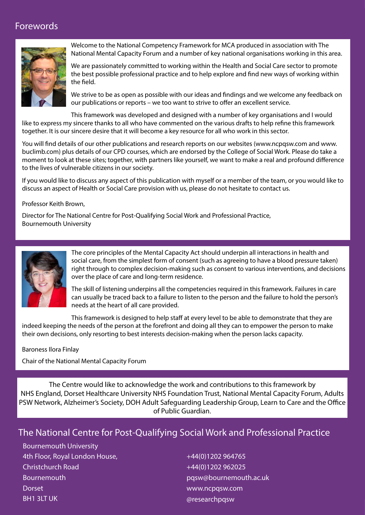## Forewords



Welcome to the National Competency Framework for MCA produced in association with The National Mental Capacity Forum and a number of key national organisations working in this area.

We are passionately committed to working within the Health and Social Care sector to promote the best possible professional practice and to help explore and find new ways of working within the field.

We strive to be as open as possible with our ideas and findings and we welcome any feedback on our publications or reports – we too want to strive to offer an excellent service.

This framework was developed and designed with a number of key organisations and I would like to express my sincere thanks to all who have commented on the various drafts to help refine this framework together. It is our sincere desire that it will become a key resource for all who work in this sector.

You will find details of our other publications and research reports on our websites (www.ncpqsw.com and www. buclimb.com) plus details of our CPD courses, which are endorsed by the College of Social Work. Please do take a moment to look at these sites; together, with partners like yourself, we want to make a real and profound difference to the lives of vulnerable citizens in our society.

If you would like to discuss any aspect of this publication with myself or a member of the team, or you would like to discuss an aspect of Health or Social Care provision with us, please do not hesitate to contact us.

Professor Keith Brown,

Director for The National Centre for Post-Qualifying Social Work and Professional Practice, Bournemouth University



The core principles of the Mental Capacity Act should underpin all interactions in health and social care, from the simplest form of consent (such as agreeing to have a blood pressure taken) right through to complex decision-making such as consent to various interventions, and decisions over the place of care and long-term residence.

The skill of listening underpins all the competencies required in this framework. Failures in care can usually be traced back to a failure to listen to the person and the failure to hold the person's needs at the heart of all care provided.

This framework is designed to help staff at every level to be able to demonstrate that they are indeed keeping the needs of the person at the forefront and doing all they can to empower the person to make their own decisions, only resorting to best interests decision-making when the person lacks capacity.

#### Baroness Ilora Finlay

Chair of the National Mental Capacity Forum

The Centre would like to acknowledge the work and contributions to this framework by NHS England, Dorset Healthcare University NHS Foundation Trust, National Mental Capacity Forum, Adults PSW Network, Alzheimer's Society, DOH Adult Safeguarding Leadership Group, Learn to Care and the Office of Public Guardian.

## The National Centre for Post-Qualifying Social Work and Professional Practice

Bournemouth University 4th Floor, Royal London House, Christchurch Road **Bournemouth Dorset** BH1 3LT UK

+44(0)1202 964765 +44(0)1202 962025 pqsw@bournemouth.ac.uk www.ncpqsw.com @researchpqsw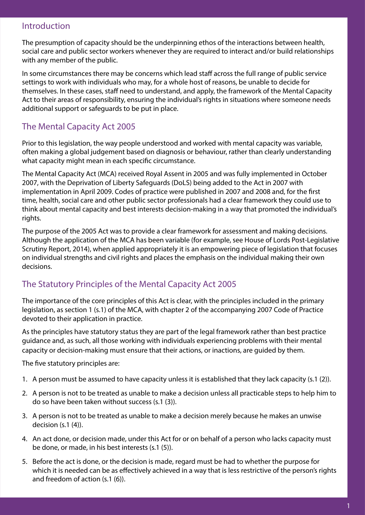#### Introduction

The presumption of capacity should be the underpinning ethos of the interactions between health, social care and public sector workers whenever they are required to interact and/or build relationships with any member of the public.

In some circumstances there may be concerns which lead staff across the full range of public service settings to work with individuals who may, for a whole host of reasons, be unable to decide for themselves. In these cases, staff need to understand, and apply, the framework of the Mental Capacity Act to their areas of responsibility, ensuring the individual's rights in situations where someone needs additional support or safeguards to be put in place.

## The Mental Capacity Act 2005

Prior to this legislation, the way people understood and worked with mental capacity was variable, often making a global judgement based on diagnosis or behaviour, rather than clearly understanding what capacity might mean in each specific circumstance.

The Mental Capacity Act (MCA) received Royal Assent in 2005 and was fully implemented in October 2007, with the Deprivation of Liberty Safeguards (DoLS) being added to the Act in 2007 with implementation in April 2009. Codes of practice were published in 2007 and 2008 and, for the first time, health, social care and other public sector professionals had a clear framework they could use to think about mental capacity and best interests decision-making in a way that promoted the individual's rights.

The purpose of the 2005 Act was to provide a clear framework for assessment and making decisions. Although the application of the MCA has been variable (for example, see House of Lords Post-Legislative Scrutiny Report, 2014), when applied appropriately it is an empowering piece of legislation that focuses on individual strengths and civil rights and places the emphasis on the individual making their own decisions.

## The Statutory Principles of the Mental Capacity Act 2005

The importance of the core principles of this Act is clear, with the principles included in the primary legislation, as section 1 (s.1) of the MCA, with chapter 2 of the accompanying 2007 Code of Practice devoted to their application in practice.

As the principles have statutory status they are part of the legal framework rather than best practice guidance and, as such, all those working with individuals experiencing problems with their mental capacity or decision-making must ensure that their actions, or inactions, are guided by them.

The five statutory principles are:

- 1. A person must be assumed to have capacity unless it is established that they lack capacity (s.1 (2)).
- 2. A person is not to be treated as unable to make a decision unless all practicable steps to help him to do so have been taken without success (s.1 (3)).
- 3. A person is not to be treated as unable to make a decision merely because he makes an unwise decision (s.1 (4)).
- 4. An act done, or decision made, under this Act for or on behalf of a person who lacks capacity must be done, or made, in his best interests (s.1 (5)).
- 5. Before the act is done, or the decision is made, regard must be had to whether the purpose for which it is needed can be as effectively achieved in a way that is less restrictive of the person's rights and freedom of action (s.1 (6)).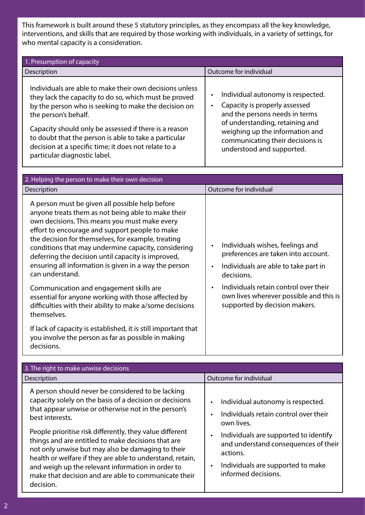This framework is built around these 5 statutory principles, as they encompass all the key knowledge, interventions, and skills that are required by those working with individuals, in a variety of settings, for who mental capacity is a consideration.

| 1. Presumption of capacity                                                                                                                                                                                                                                                                                                                                                                                 |                                                                                                                                                                                                                                                  |  |  |
|------------------------------------------------------------------------------------------------------------------------------------------------------------------------------------------------------------------------------------------------------------------------------------------------------------------------------------------------------------------------------------------------------------|--------------------------------------------------------------------------------------------------------------------------------------------------------------------------------------------------------------------------------------------------|--|--|
| Description                                                                                                                                                                                                                                                                                                                                                                                                | Outcome for individual                                                                                                                                                                                                                           |  |  |
| Individuals are able to make their own decisions unless<br>they lack the capacity to do so, which must be proved<br>by the person who is seeking to make the decision on<br>the person's behalf.<br>Capacity should only be assessed if there is a reason<br>to doubt that the person is able to take a particular<br>decision at a specific time; it does not relate to a<br>particular diagnostic label. | Individual autonomy is respected.<br>٠<br>Capacity is properly assessed<br>and the persons needs in terms<br>of understanding, retaining and<br>weighing up the information and<br>communicating their decisions is<br>understood and supported. |  |  |

| 2. Helping the person to make their own decision                                                                                                                                                                                                                                                                                                                                                                                                        |                                                                                                                                                         |  |
|---------------------------------------------------------------------------------------------------------------------------------------------------------------------------------------------------------------------------------------------------------------------------------------------------------------------------------------------------------------------------------------------------------------------------------------------------------|---------------------------------------------------------------------------------------------------------------------------------------------------------|--|
| Description                                                                                                                                                                                                                                                                                                                                                                                                                                             | Outcome for individual                                                                                                                                  |  |
| A person must be given all possible help before<br>anyone treats them as not being able to make their<br>own decisions. This means you must make every<br>effort to encourage and support people to make<br>the decision for themselves, for example, treating<br>conditions that may undermine capacity, considering<br>deferring the decision until capacity is improved,<br>ensuring all information is given in a way the person<br>can understand. | Individuals wishes, feelings and<br>$\bullet$<br>preferences are taken into account.<br>Individuals are able to take part in<br>$\bullet$<br>decisions. |  |
| Communication and engagement skills are<br>essential for anyone working with those affected by<br>difficulties with their ability to make a/some decisions<br>themselves.                                                                                                                                                                                                                                                                               | Individuals retain control over their<br>$\bullet$<br>own lives wherever possible and this is<br>supported by decision makers.                          |  |
| If lack of capacity is established, it is still important that<br>you involve the person as far as possible in making<br>decisions.                                                                                                                                                                                                                                                                                                                     |                                                                                                                                                         |  |

| 3. The right to make unwise decisions                                                                                                                                                                                                                                                                                                                                                                                                                                                                                                                |                                                                                                                                                                                                                                                                                                       |  |  |
|------------------------------------------------------------------------------------------------------------------------------------------------------------------------------------------------------------------------------------------------------------------------------------------------------------------------------------------------------------------------------------------------------------------------------------------------------------------------------------------------------------------------------------------------------|-------------------------------------------------------------------------------------------------------------------------------------------------------------------------------------------------------------------------------------------------------------------------------------------------------|--|--|
| Description                                                                                                                                                                                                                                                                                                                                                                                                                                                                                                                                          | Outcome for individual                                                                                                                                                                                                                                                                                |  |  |
| A person should never be considered to be lacking<br>capacity solely on the basis of a decision or decisions<br>that appear unwise or otherwise not in the person's<br>best interests.<br>People prioritise risk differently, they value different<br>things and are entitled to make decisions that are<br>not only unwise but may also be damaging to their<br>health or welfare if they are able to understand, retain,<br>and weigh up the relevant information in order to<br>make that decision and are able to communicate their<br>decision. | Individual autonomy is respected.<br>$\bullet$<br>Individuals retain control over their<br>$\bullet$<br>own lives.<br>Individuals are supported to identify<br>$\bullet$<br>and understand consequences of their<br>actions.<br>Individuals are supported to make<br>$\bullet$<br>informed decisions. |  |  |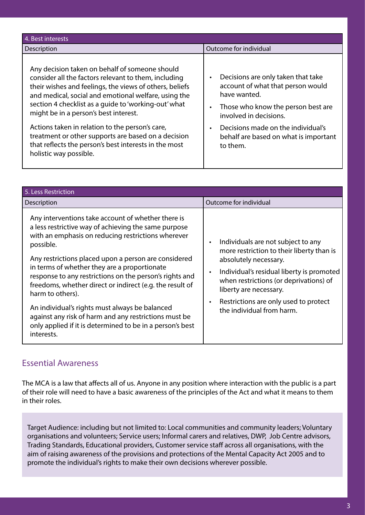| 4. Best interests                                                                                                                                                                                                                                                                                                                                                                                                                                                                                                       |                                                                                                                                                                                                                                                    |
|-------------------------------------------------------------------------------------------------------------------------------------------------------------------------------------------------------------------------------------------------------------------------------------------------------------------------------------------------------------------------------------------------------------------------------------------------------------------------------------------------------------------------|----------------------------------------------------------------------------------------------------------------------------------------------------------------------------------------------------------------------------------------------------|
| Description                                                                                                                                                                                                                                                                                                                                                                                                                                                                                                             | Outcome for individual                                                                                                                                                                                                                             |
| Any decision taken on behalf of someone should<br>consider all the factors relevant to them, including<br>their wishes and feelings, the views of others, beliefs<br>and medical, social and emotional welfare, using the<br>section 4 checklist as a guide to 'working-out' what<br>might be in a person's best interest.<br>Actions taken in relation to the person's care,<br>treatment or other supports are based on a decision<br>that reflects the person's best interests in the most<br>holistic way possible. | Decisions are only taken that take<br>account of what that person would<br>have wanted.<br>Those who know the person best are<br>involved in decisions.<br>Decisions made on the individual's<br>behalf are based on what is important<br>to them. |

| 5. Less Restriction                                                                                                                                                                                                                                                                                                                                                                                                                                                                                                                                                                                                    |                                                                                                                                                                                                                                                                                                              |
|------------------------------------------------------------------------------------------------------------------------------------------------------------------------------------------------------------------------------------------------------------------------------------------------------------------------------------------------------------------------------------------------------------------------------------------------------------------------------------------------------------------------------------------------------------------------------------------------------------------------|--------------------------------------------------------------------------------------------------------------------------------------------------------------------------------------------------------------------------------------------------------------------------------------------------------------|
| Description                                                                                                                                                                                                                                                                                                                                                                                                                                                                                                                                                                                                            | Outcome for individual                                                                                                                                                                                                                                                                                       |
| Any interventions take account of whether there is<br>a less restrictive way of achieving the same purpose<br>with an emphasis on reducing restrictions wherever<br>possible.<br>Any restrictions placed upon a person are considered<br>in terms of whether they are a proportionate<br>response to any restrictions on the person's rights and<br>freedoms, whether direct or indirect (e.g. the result of<br>harm to others).<br>An individual's rights must always be balanced<br>against any risk of harm and any restrictions must be<br>only applied if it is determined to be in a person's best<br>interests. | Individuals are not subject to any<br>more restriction to their liberty than is<br>absolutely necessary.<br>Individual's residual liberty is promoted<br>$\bullet$<br>when restrictions (or deprivations) of<br>liberty are necessary.<br>Restrictions are only used to protect<br>the individual from harm. |

#### Essential Awareness

The MCA is a law that affects all of us. Anyone in any position where interaction with the public is a part of their role will need to have a basic awareness of the principles of the Act and what it means to them in their roles.

Target Audience: including but not limited to: Local communities and community leaders; Voluntary organisations and volunteers; Service users; Informal carers and relatives, DWP, Job Centre advisors, Trading Standards, Educational providers, Customer service staff across all organisations, with the aim of raising awareness of the provisions and protections of the Mental Capacity Act 2005 and to promote the individual's rights to make their own decisions wherever possible.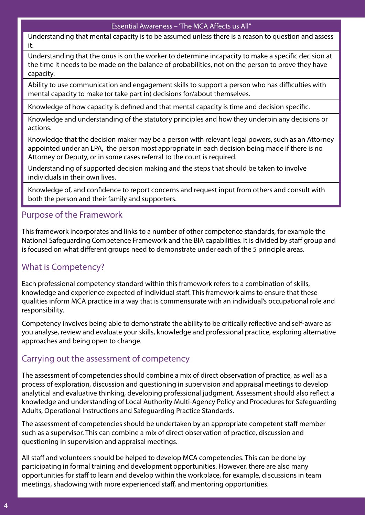#### Essential Awareness – 'The MCA Affects us All"

Understanding that mental capacity is to be assumed unless there is a reason to question and assess it.

Understanding that the onus is on the worker to determine incapacity to make a specific decision at the time it needs to be made on the balance of probabilities, not on the person to prove they have capacity.

Ability to use communication and engagement skills to support a person who has difficulties with mental capacity to make (or take part in) decisions for/about themselves.

Knowledge of how capacity is defined and that mental capacity is time and decision specific.

Knowledge and understanding of the statutory principles and how they underpin any decisions or actions.

Knowledge that the decision maker may be a person with relevant legal powers, such as an Attorney appointed under an LPA, the person most appropriate in each decision being made if there is no Attorney or Deputy, or in some cases referral to the court is required.

Understanding of supported decision making and the steps that should be taken to involve individuals in their own lives.

Knowledge of, and confidence to report concerns and request input from others and consult with both the person and their family and supporters.

#### Purpose of the Framework

This framework incorporates and links to a number of other competence standards, for example the National Safeguarding Competence Framework and the BIA capabilities. It is divided by staff group and is focused on what different groups need to demonstrate under each of the 5 principle areas.

## What is Competency?

Each professional competency standard within this framework refers to a combination of skills, knowledge and experience expected of individual staff. This framework aims to ensure that these qualities inform MCA practice in a way that is commensurate with an individual's occupational role and responsibility.

Competency involves being able to demonstrate the ability to be critically reflective and self-aware as you analyse, review and evaluate your skills, knowledge and professional practice, exploring alternative approaches and being open to change.

## Carrying out the assessment of competency

The assessment of competencies should combine a mix of direct observation of practice, as well as a process of exploration, discussion and questioning in supervision and appraisal meetings to develop analytical and evaluative thinking, developing professional judgment. Assessment should also reflect a knowledge and understanding of Local Authority Multi-Agency Policy and Procedures for Safeguarding Adults, Operational Instructions and Safeguarding Practice Standards.

The assessment of competencies should be undertaken by an appropriate competent staff member such as a supervisor. This can combine a mix of direct observation of practice, discussion and questioning in supervision and appraisal meetings.

All staff and volunteers should be helped to develop MCA competencies. This can be done by participating in formal training and development opportunities. However, there are also many opportunities for staff to learn and develop within the workplace, for example, discussions in team meetings, shadowing with more experienced staff, and mentoring opportunities.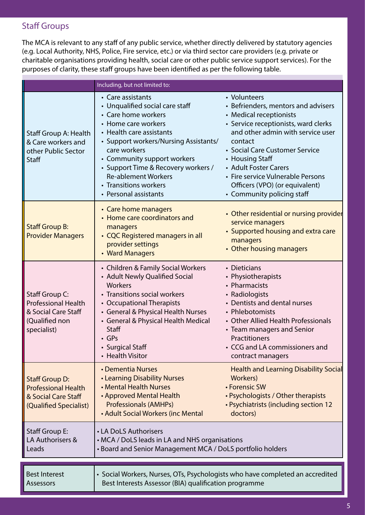## Staff Groups

The MCA is relevant to any staff of any public service, whether directly delivered by statutory agencies (e.g. Local Authority, NHS, Police, Fire service, etc.) or via third sector care providers (e.g. private or charitable organisations providing health, social care or other public service support services). For the purposes of clarity, these staff groups have been identified as per the following table.

|                                                                                                                                                                             | Including, but not limited to:                                                                                                                                                                                                                                                                                                                |                                                                                                                                                                                                                                                                                                                                                           |  |
|-----------------------------------------------------------------------------------------------------------------------------------------------------------------------------|-----------------------------------------------------------------------------------------------------------------------------------------------------------------------------------------------------------------------------------------------------------------------------------------------------------------------------------------------|-----------------------------------------------------------------------------------------------------------------------------------------------------------------------------------------------------------------------------------------------------------------------------------------------------------------------------------------------------------|--|
| Staff Group A: Health<br>& Care workers and<br>other Public Sector<br>Staff                                                                                                 | • Care assistants<br>• Unqualified social care staff<br>• Care home workers<br>• Home care workers<br>• Health care assistants<br>• Support workers/Nursing Assistants/<br>care workers<br>• Community support workers<br>• Support Time & Recovery workers /<br><b>Re-ablement Workers</b><br>• Transitions workers<br>• Personal assistants | • Volunteers<br>• Befrienders, mentors and advisers<br>• Medical receptionists<br>• Service receptionists, ward clerks<br>and other admin with service user<br>contact<br>• Social Care Customer Service<br>• Housing Staff<br>• Adult Foster Carers<br>• Fire service Vulnerable Persons<br>Officers (VPO) (or equivalent)<br>• Community policing staff |  |
| <b>Staff Group B:</b><br><b>Provider Managers</b>                                                                                                                           | • Care home managers<br>• Home care coordinators and<br>managers<br>• CQC Registered managers in all<br>provider settings<br>• Ward Managers                                                                                                                                                                                                  | • Other residential or nursing provider<br>service managers<br>• Supported housing and extra care<br>managers<br>• Other housing managers                                                                                                                                                                                                                 |  |
| Staff Group C:<br><b>Professional Health</b><br>& Social Care Staff<br>(Qualified non<br>specialist)                                                                        | • Children & Family Social Workers<br>• Adult Newly Qualified Social<br>Workers<br>• Transitions social workers<br>• Occupational Therapists<br>• General & Physical Health Nurses<br>• General & Physical Health Medical<br>Staff<br>$\cdot$ GPs<br>• Surgical Staff<br><b>Health Visitor</b>                                                | • Dieticians<br>• Physiotherapists<br>• Pharmacists<br>• Radiologists<br>• Dentists and dental nurses<br>• Phlebotomists<br>• Other Allied Health Professionals<br>• Team managers and Senior<br>Practitioners<br>• CCG and LA commissioners and<br>contract managers                                                                                     |  |
| <b>Staff Group D:</b><br><b>Professional Health</b><br>& Social Care Staff<br>(Qualified Specialist)                                                                        | • Dementia Nurses<br>• Learning Disability Nurses<br>• Mental Health Nurses<br>• Approved Mental Health<br><b>Professionals (AMHPs)</b><br>• Adult Social Workers (inc Mental                                                                                                                                                                 | <b>Health and Learning Disability Social</b><br>Workers)<br>• Forensic SW<br>• Psychologists / Other therapists<br>• Psychiatrists (including section 12<br>doctors)                                                                                                                                                                                      |  |
| Staff Group E:<br>LA Authorisers &<br>Leads                                                                                                                                 | • LA DoLS Authorisers<br>• MCA / DoLS leads in LA and NHS organisations<br>• Board and Senior Management MCA / DoLS portfolio holders                                                                                                                                                                                                         |                                                                                                                                                                                                                                                                                                                                                           |  |
| • Social Workers, Nurses, OTs, Psychologists who have completed an accredited<br><b>Best Interest</b><br>Best Interests Assessor (BIA) qualification programme<br>Assessors |                                                                                                                                                                                                                                                                                                                                               |                                                                                                                                                                                                                                                                                                                                                           |  |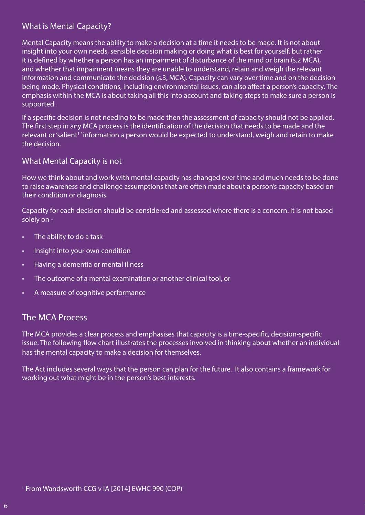#### What is Mental Capacity?

Mental Capacity means the ability to make a decision at a time it needs to be made. It is not about insight into your own needs, sensible decision making or doing what is best for yourself, but rather it is defined by whether a person has an impairment of disturbance of the mind or brain (s.2 MCA), and whether that impairment means they are unable to understand, retain and weigh the relevant information and communicate the decision (s.3, MCA). Capacity can vary over time and on the decision being made. Physical conditions, including environmental issues, can also affect a person's capacity. The emphasis within the MCA is about taking all this into account and taking steps to make sure a person is supported.

If a specific decision is not needing to be made then the assessment of capacity should not be applied. The first step in any MCA process is the identification of the decision that needs to be made and the relevant or 'salient<sup>1</sup>' information a person would be expected to understand, weigh and retain to make the decision.

#### What Mental Capacity is not

How we think about and work with mental capacity has changed over time and much needs to be done to raise awareness and challenge assumptions that are often made about a person's capacity based on their condition or diagnosis.

Capacity for each decision should be considered and assessed where there is a concern. It is not based solely on -

- The ability to do a task
- Insight into your own condition
- Having a dementia or mental illness
- The outcome of a mental examination or another clinical tool, or
- A measure of cognitive performance

#### The MCA Process

The MCA provides a clear process and emphasises that capacity is a time-specific, decision-specific issue. The following flow chart illustrates the processes involved in thinking about whether an individual has the mental capacity to make a decision for themselves.

The Act includes several ways that the person can plan for the future. It also contains a framework for working out what might be in the person's best interests.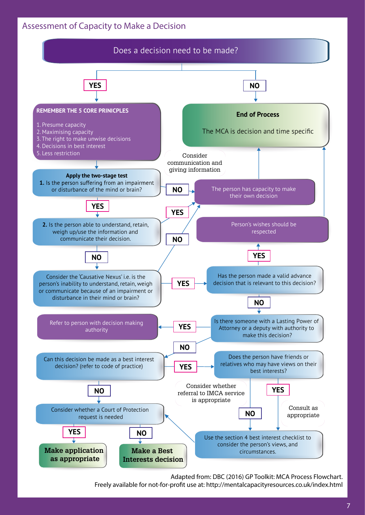#### Assessment of Capacity to Make a Decision



Adapted from: DBC (2016) GP Toolkit: MCA Process Flowchart.

Freely available for not-for-profit use at: http://mentalcapacityresources.co.uk/index.html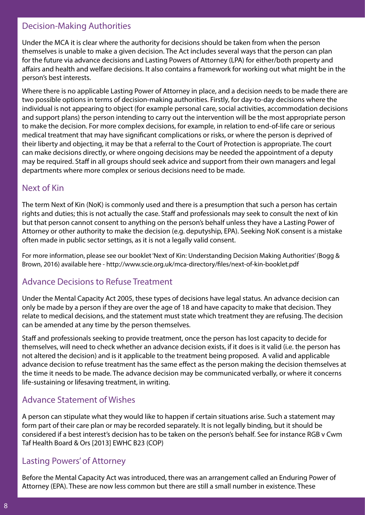#### Decision-Making Authorities

Under the MCA it is clear where the authority for decisions should be taken from when the person themselves is unable to make a given decision. The Act includes several ways that the person can plan for the future via advance decisions and Lasting Powers of Attorney (LPA) for either/both property and affairs and health and welfare decisions. It also contains a framework for working out what might be in the person's best interests.

Where there is no applicable Lasting Power of Attorney in place, and a decision needs to be made there are two possible options in terms of decision-making authorities. Firstly, for day-to-day decisions where the individual is not appearing to object (for example personal care, social activities, accommodation decisions and support plans) the person intending to carry out the intervention will be the most appropriate person to make the decision. For more complex decisions, for example, in relation to end-of-life care or serious medical treatment that may have significant complications or risks, or where the person is deprived of their liberty and objecting, it may be that a referral to the Court of Protection is appropriate. The court can make decisions directly, or where ongoing decisions may be needed the appointment of a deputy may be required. Staff in all groups should seek advice and support from their own managers and legal departments where more complex or serious decisions need to be made.

#### Next of Kin

The term Next of Kin (NoK) is commonly used and there is a presumption that such a person has certain rights and duties; this is not actually the case. Staff and professionals may seek to consult the next of kin but that person cannot consent to anything on the person's behalf unless they have a Lasting Power of Attorney or other authority to make the decision (e.g. deputyship, EPA). Seeking NoK consent is a mistake often made in public sector settings, as it is not a legally valid consent.

For more information, please see our booklet 'Next of Kin: Understanding Decision Making Authorities' (Bogg & Brown, 2016) available here - http://www.scie.org.uk/mca-directory/files/next-of-kin-booklet.pdf

## Advance Decisions to Refuse Treatment

Under the Mental Capacity Act 2005, these types of decisions have legal status. An advance decision can only be made by a person if they are over the age of 18 and have capacity to make that decision. They relate to medical decisions, and the statement must state which treatment they are refusing. The decision can be amended at any time by the person themselves.

Staff and professionals seeking to provide treatment, once the person has lost capacity to decide for themselves, will need to check whether an advance decision exists, if it does is it valid (i.e. the person has not altered the decision) and is it applicable to the treatment being proposed. A valid and applicable advance decision to refuse treatment has the same effect as the person making the decision themselves at the time it needs to be made. The advance decision may be communicated verbally, or where it concerns life-sustaining or lifesaving treatment, in writing.

## Advance Statement of Wishes

A person can stipulate what they would like to happen if certain situations arise. Such a statement may form part of their care plan or may be recorded separately. It is not legally binding, but it should be considered if a best interest's decision has to be taken on the person's behalf. See for instance RGB v Cwm Taf Health Board & Ors [2013] EWHC B23 (COP)

## Lasting Powers' of Attorney

Before the Mental Capacity Act was introduced, there was an arrangement called an Enduring Power of Attorney (EPA). These are now less common but there are still a small number in existence. These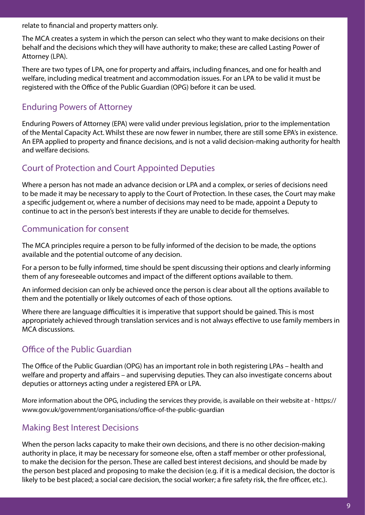relate to financial and property matters only.

The MCA creates a system in which the person can select who they want to make decisions on their behalf and the decisions which they will have authority to make; these are called Lasting Power of Attorney (LPA).

There are two types of LPA, one for property and affairs, including finances, and one for health and welfare, including medical treatment and accommodation issues. For an LPA to be valid it must be registered with the Office of the Public Guardian (OPG) before it can be used.

## Enduring Powers of Attorney

Enduring Powers of Attorney (EPA) were valid under previous legislation, prior to the implementation of the Mental Capacity Act. Whilst these are now fewer in number, there are still some EPA's in existence. An EPA applied to property and finance decisions, and is not a valid decision-making authority for health and welfare decisions.

## Court of Protection and Court Appointed Deputies

Where a person has not made an advance decision or LPA and a complex, or series of decisions need to be made it may be necessary to apply to the Court of Protection. In these cases, the Court may make a specific judgement or, where a number of decisions may need to be made, appoint a Deputy to continue to act in the person's best interests if they are unable to decide for themselves.

## Communication for consent

The MCA principles require a person to be fully informed of the decision to be made, the options available and the potential outcome of any decision.

For a person to be fully informed, time should be spent discussing their options and clearly informing them of any foreseeable outcomes and impact of the different options available to them.

An informed decision can only be achieved once the person is clear about all the options available to them and the potentially or likely outcomes of each of those options.

Where there are language difficulties it is imperative that support should be gained. This is most appropriately achieved through translation services and is not always effective to use family members in MCA discussions.

## Office of the Public Guardian

The Office of the Public Guardian (OPG) has an important role in both registering LPAs – health and welfare and property and affairs – and supervising deputies. They can also investigate concerns about deputies or attorneys acting under a registered EPA or LPA.

More information about the OPG, including the services they provide, is available on their website at - https:// www.gov.uk/government/organisations/office-of-the-public-guardian

## Making Best Interest Decisions

When the person lacks capacity to make their own decisions, and there is no other decision-making authority in place, it may be necessary for someone else, often a staff member or other professional, to make the decision for the person. These are called best interest decisions, and should be made by the person best placed and proposing to make the decision (e.g. if it is a medical decision, the doctor is likely to be best placed; a social care decision, the social worker; a fire safety risk, the fire officer, etc.).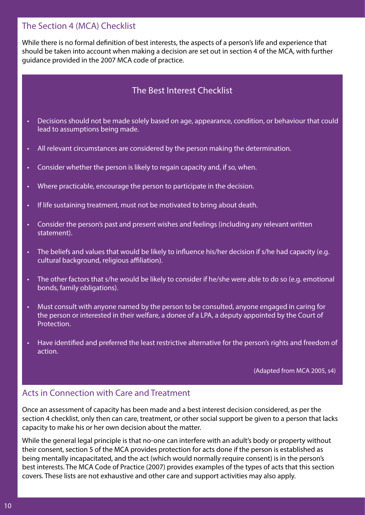#### The Section 4 (MCA) Checklist

While there is no formal definition of best interests, the aspects of a person's life and experience that should be taken into account when making a decision are set out in section 4 of the MCA, with further guidance provided in the 2007 MCA code of practice.

## The Best Interest Checklist

- Decisions should not be made solely based on age, appearance, condition, or behaviour that could lead to assumptions being made.
- All relevant circumstances are considered by the person making the determination.
- Consider whether the person is likely to regain capacity and, if so, when.
- Where practicable, encourage the person to participate in the decision.
- If life sustaining treatment, must not be motivated to bring about death.
- Consider the person's past and present wishes and feelings (including any relevant written statement).
- The beliefs and values that would be likely to influence his/her decision if s/he had capacity (e.g. cultural background, religious affiliation).
- The other factors that s/he would be likely to consider if he/she were able to do so (e.g. emotional bonds, family obligations).
- Must consult with anyone named by the person to be consulted, anyone engaged in caring for the person or interested in their welfare, a donee of a LPA, a deputy appointed by the Court of Protection.
- Have identified and preferred the least restrictive alternative for the person's rights and freedom of action.

(Adapted from MCA 2005, s4)

## Acts in Connection with Care and Treatment

Once an assessment of capacity has been made and a best interest decision considered, as per the section 4 checklist, only then can care, treatment, or other social support be given to a person that lacks capacity to make his or her own decision about the matter.

While the general legal principle is that no-one can interfere with an adult's body or property without their consent, section 5 of the MCA provides protection for acts done if the person is established as being mentally incapacitated, and the act (which would normally require consent) is in the person's best interests. The MCA Code of Practice (2007) provides examples of the types of acts that this section covers. These lists are not exhaustive and other care and support activities may also apply.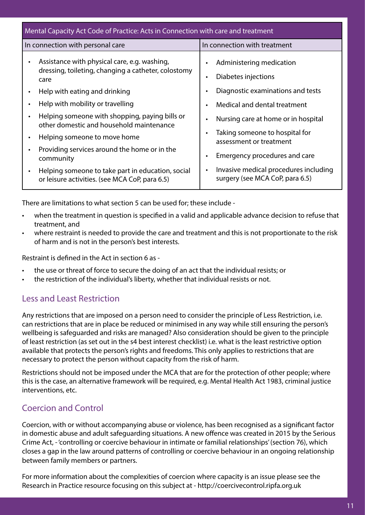| Mental Capacity Act Code of Practice: Acts in Connection with care and treatment                                                                                                                                                                                                                                                                                                                                                                                                                                                                    |                                                                                                                                                                                                                                                                                                                                                    |  |
|-----------------------------------------------------------------------------------------------------------------------------------------------------------------------------------------------------------------------------------------------------------------------------------------------------------------------------------------------------------------------------------------------------------------------------------------------------------------------------------------------------------------------------------------------------|----------------------------------------------------------------------------------------------------------------------------------------------------------------------------------------------------------------------------------------------------------------------------------------------------------------------------------------------------|--|
| In connection with personal care                                                                                                                                                                                                                                                                                                                                                                                                                                                                                                                    | In connection with treatment                                                                                                                                                                                                                                                                                                                       |  |
| Assistance with physical care, e.g. washing,<br>$\bullet$<br>dressing, toileting, changing a catheter, colostomy<br>care<br>Help with eating and drinking<br>Help with mobility or travelling<br>Helping someone with shopping, paying bills or<br>$\bullet$<br>other domestic and household maintenance<br>Helping someone to move home<br>$\bullet$<br>Providing services around the home or in the<br>$\bullet$<br>community<br>Helping someone to take part in education, social<br>$\bullet$<br>or leisure activities. (see MCA CoP, para 6.5) | Administering medication<br>Diabetes injections<br>Diagnostic examinations and tests<br>Medical and dental treatment<br>Nursing care at home or in hospital<br>Taking someone to hospital for<br>assessment or treatment<br>Emergency procedures and care<br>Invasive medical procedures including<br>$\bullet$<br>surgery (see MCA CoP, para 6.5) |  |

There are limitations to what section 5 can be used for; these include -

- when the treatment in question is specified in a valid and applicable advance decision to refuse that treatment, and
- where restraint is needed to provide the care and treatment and this is not proportionate to the risk of harm and is not in the person's best interests.

Restraint is defined in the Act in section 6 as -

- the use or threat of force to secure the doing of an act that the individual resists; or
- the restriction of the individual's liberty, whether that individual resists or not.

## Less and Least Restriction

Any restrictions that are imposed on a person need to consider the principle of Less Restriction, i.e. can restrictions that are in place be reduced or minimised in any way while still ensuring the person's wellbeing is safeguarded and risks are managed? Also consideration should be given to the principle of least restriction (as set out in the s4 best interest checklist) i.e. what is the least restrictive option available that protects the person's rights and freedoms. This only applies to restrictions that are necessary to protect the person without capacity from the risk of harm.

Restrictions should not be imposed under the MCA that are for the protection of other people; where this is the case, an alternative framework will be required, e.g. Mental Health Act 1983, criminal justice interventions, etc.

## Coercion and Control

Coercion, with or without accompanying abuse or violence, has been recognised as a significant factor in domestic abuse and adult safeguarding situations. A new offence was created in 2015 by the Serious Crime Act, - 'controlling or coercive behaviour in intimate or familial relationships' (section 76), which closes a gap in the law around patterns of controlling or coercive behaviour in an ongoing relationship between family members or partners.

For more information about the complexities of coercion where capacity is an issue please see the Research in Practice resource focusing on this subject at - http://coercivecontrol.ripfa.org.uk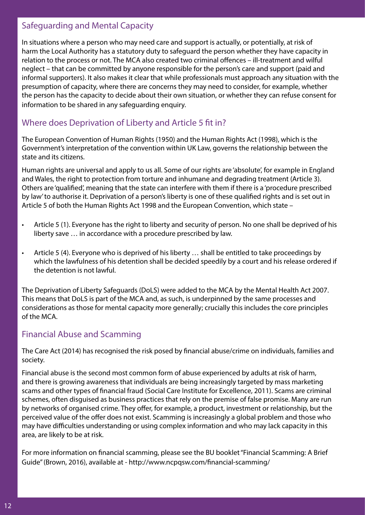#### Safeguarding and Mental Capacity

In situations where a person who may need care and support is actually, or potentially, at risk of harm the Local Authority has a statutory duty to safeguard the person whether they have capacity in relation to the process or not. The MCA also created two criminal offences – ill-treatment and wilful neglect – that can be committed by anyone responsible for the person's care and support (paid and informal supporters). It also makes it clear that while professionals must approach any situation with the presumption of capacity, where there are concerns they may need to consider, for example, whether the person has the capacity to decide about their own situation, or whether they can refuse consent for information to be shared in any safeguarding enquiry.

#### Where does Deprivation of Liberty and Article 5 fit in?

The European Convention of Human Rights (1950) and the Human Rights Act (1998), which is the Government's interpretation of the convention within UK Law, governs the relationship between the state and its citizens.

Human rights are universal and apply to us all. Some of our rights are 'absolute', for example in England and Wales, the right to protection from torture and inhumane and degrading treatment (Article 3). Others are 'qualified', meaning that the state can interfere with them if there is a 'procedure prescribed by law' to authorise it. Deprivation of a person's liberty is one of these qualified rights and is set out in Article 5 of both the Human Rights Act 1998 and the European Convention, which state –

- Article 5 (1). Everyone has the right to liberty and security of person. No one shall be deprived of his liberty save … in accordance with a procedure prescribed by law.
- Article 5 (4). Everyone who is deprived of his liberty … shall be entitled to take proceedings by which the lawfulness of his detention shall be decided speedily by a court and his release ordered if the detention is not lawful.

The Deprivation of Liberty Safeguards (DoLS) were added to the MCA by the Mental Health Act 2007. This means that DoLS is part of the MCA and, as such, is underpinned by the same processes and considerations as those for mental capacity more generally; crucially this includes the core principles of the MCA.

#### Financial Abuse and Scamming

The Care Act (2014) has recognised the risk posed by financial abuse/crime on individuals, families and society.

Financial abuse is the second most common form of abuse experienced by adults at risk of harm, and there is growing awareness that individuals are being increasingly targeted by mass marketing scams and other types of financial fraud (Social Care Institute for Excellence, 2011). Scams are criminal schemes, often disguised as business practices that rely on the premise of false promise. Many are run by networks of organised crime. They offer, for example, a product, investment or relationship, but the perceived value of the offer does not exist. Scamming is increasingly a global problem and those who may have difficulties understanding or using complex information and who may lack capacity in this area, are likely to be at risk.

For more information on financial scamming, please see the BU booklet "Financial Scamming: A Brief Guide" (Brown, 2016), available at - http://www.ncpqsw.com/financial-scamming/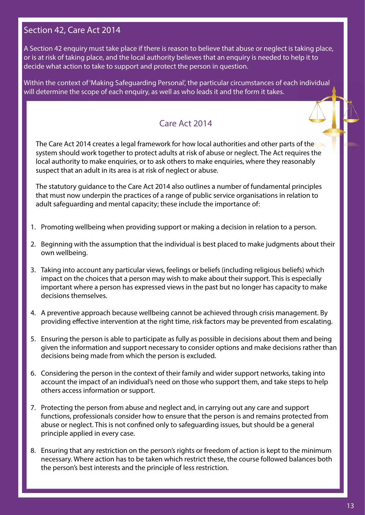#### Section 42, Care Act 2014

A Section 42 enquiry must take place if there is reason to believe that abuse or neglect is taking place, or is at risk of taking place, and the local authority believes that an enquiry is needed to help it to decide what action to take to support and protect the person in question.

Within the context of 'Making Safeguarding Personal', the particular circumstances of each individual will determine the scope of each enquiry, as well as who leads it and the form it takes.

## Care Act 2014

The Care Act 2014 creates a legal framework for how local authorities and other parts of the system should work together to protect adults at risk of abuse or neglect. The Act requires the local authority to make enquiries, or to ask others to make enquiries, where they reasonably suspect that an adult in its area is at risk of neglect or abuse.

The statutory guidance to the Care Act 2014 also outlines a number of fundamental principles that must now underpin the practices of a range of public service organisations in relation to adult safeguarding and mental capacity; these include the importance of:

- 1. Promoting wellbeing when providing support or making a decision in relation to a person.
- 2. Beginning with the assumption that the individual is best placed to make judgments about their own wellbeing.
- 3. Taking into account any particular views, feelings or beliefs (including religious beliefs) which impact on the choices that a person may wish to make about their support. This is especially important where a person has expressed views in the past but no longer has capacity to make decisions themselves.
- 4. A preventive approach because wellbeing cannot be achieved through crisis management. By providing effective intervention at the right time, risk factors may be prevented from escalating.
- 5. Ensuring the person is able to participate as fully as possible in decisions about them and being given the information and support necessary to consider options and make decisions rather than decisions being made from which the person is excluded.
- 6. Considering the person in the context of their family and wider support networks, taking into account the impact of an individual's need on those who support them, and take steps to help others access information or support.
- 7. Protecting the person from abuse and neglect and, in carrying out any care and support functions, professionals consider how to ensure that the person is and remains protected from abuse or neglect. This is not confined only to safeguarding issues, but should be a general principle applied in every case.
- 8. Ensuring that any restriction on the person's rights or freedom of action is kept to the minimum necessary. Where action has to be taken which restrict these, the course followed balances both the person's best interests and the principle of less restriction.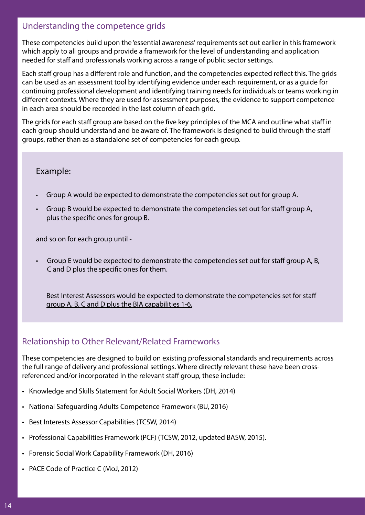#### Understanding the competence grids

These competencies build upon the 'essential awareness' requirements set out earlier in this framework which apply to all groups and provide a framework for the level of understanding and application needed for staff and professionals working across a range of public sector settings.

Each staff group has a different role and function, and the competencies expected reflect this. The grids can be used as an assessment tool by identifying evidence under each requirement, or as a guide for continuing professional development and identifying training needs for individuals or teams working in different contexts. Where they are used for assessment purposes, the evidence to support competence in each area should be recorded in the last column of each grid.

The grids for each staff group are based on the five key principles of the MCA and outline what staff in each group should understand and be aware of. The framework is designed to build through the staff groups, rather than as a standalone set of competencies for each group.

#### Example:

- Group A would be expected to demonstrate the competencies set out for group A.
- Group B would be expected to demonstrate the competencies set out for staff group A, plus the specific ones for group B.

and so on for each group until -

• Group E would be expected to demonstrate the competencies set out for staff group A, B, C and D plus the specific ones for them.

Best Interest Assessors would be expected to demonstrate the competencies set for staff group A, B, C and D plus the BIA capabilities 1-6.

## Relationship to Other Relevant/Related Frameworks

These competencies are designed to build on existing professional standards and requirements across the full range of delivery and professional settings. Where directly relevant these have been crossreferenced and/or incorporated in the relevant staff group, these include:

- Knowledge and Skills Statement for Adult Social Workers (DH, 2014)
- National Safeguarding Adults Competence Framework (BU, 2016)
- Best Interests Assessor Capabilities (TCSW, 2014)
- Professional Capabilities Framework (PCF) (TCSW, 2012, updated BASW, 2015).
- Forensic Social Work Capability Framework (DH, 2016)
- PACE Code of Practice C (MoJ, 2012)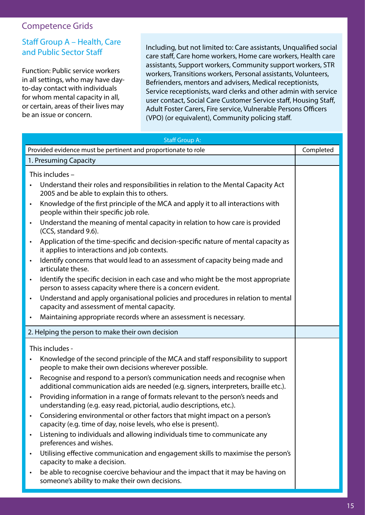#### Competence Grids

#### Staff Group A – Health, Care and Public Sector Staff

Function: Public service workers in all settings, who may have dayto-day contact with individuals for whom mental capacity in all, or certain, areas of their lives may be an issue or concern.

Including, but not limited to: Care assistants, Unqualified social care staff, Care home workers, Home care workers, Health care assistants, Support workers, Community support workers, STR workers, Transitions workers, Personal assistants, Volunteers, Befrienders, mentors and advisers, Medical receptionists, Service receptionists, ward clerks and other admin with service user contact, Social Care Customer Service staff, Housing Staff, Adult Foster Carers, Fire service, Vulnerable Persons Officers (VPO) (or equivalent), Community policing staff.

| <b>Staff Group A:</b>                                                                                                                                                           |  |  |  |
|---------------------------------------------------------------------------------------------------------------------------------------------------------------------------------|--|--|--|
| Provided evidence must be pertinent and proportionate to role                                                                                                                   |  |  |  |
| 1. Presuming Capacity                                                                                                                                                           |  |  |  |
| This includes -                                                                                                                                                                 |  |  |  |
| Understand their roles and responsibilities in relation to the Mental Capacity Act<br>$\bullet$<br>2005 and be able to explain this to others.                                  |  |  |  |
| Knowledge of the first principle of the MCA and apply it to all interactions with<br>$\bullet$<br>people within their specific job role.                                        |  |  |  |
| Understand the meaning of mental capacity in relation to how care is provided<br>$\bullet$<br>(CCS, standard 9.6).                                                              |  |  |  |
| Application of the time-specific and decision-specific nature of mental capacity as<br>$\bullet$<br>it applies to interactions and job contexts.                                |  |  |  |
| Identify concerns that would lead to an assessment of capacity being made and<br>$\bullet$<br>articulate these.                                                                 |  |  |  |
| Identify the specific decision in each case and who might be the most appropriate<br>$\bullet$<br>person to assess capacity where there is a concern evident.                   |  |  |  |
| Understand and apply organisational policies and procedures in relation to mental<br>$\bullet$<br>capacity and assessment of mental capacity.                                   |  |  |  |
| Maintaining appropriate records where an assessment is necessary.<br>$\bullet$                                                                                                  |  |  |  |
| 2. Helping the person to make their own decision                                                                                                                                |  |  |  |
| This includes -                                                                                                                                                                 |  |  |  |
| Knowledge of the second principle of the MCA and staff responsibility to support<br>$\bullet$<br>people to make their own decisions wherever possible.                          |  |  |  |
| Recognise and respond to a person's communication needs and recognise when<br>$\bullet$<br>additional communication aids are needed (e.g. signers, interpreters, braille etc.). |  |  |  |
| Providing information in a range of formats relevant to the person's needs and<br>$\bullet$<br>understanding (e.g. easy read, pictorial, audio descriptions, etc.).             |  |  |  |
| Considering environmental or other factors that might impact on a person's<br>$\bullet$<br>capacity (e.g. time of day, noise levels, who else is present).                      |  |  |  |
| Listening to individuals and allowing individuals time to communicate any<br>$\bullet$<br>preferences and wishes.                                                               |  |  |  |
| Utilising effective communication and engagement skills to maximise the person's<br>$\bullet$<br>capacity to make a decision.                                                   |  |  |  |
| be able to recognise coercive behaviour and the impact that it may be having on<br>$\bullet$<br>someone's ability to make their own decisions.                                  |  |  |  |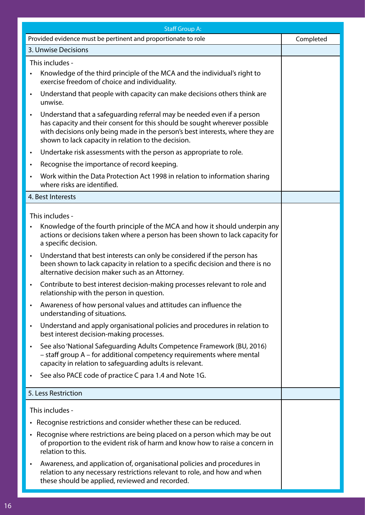|           | <b>Staff Group A:</b>                                                                                                                                                                                                                                                                        |           |  |  |
|-----------|----------------------------------------------------------------------------------------------------------------------------------------------------------------------------------------------------------------------------------------------------------------------------------------------|-----------|--|--|
|           | Provided evidence must be pertinent and proportionate to role                                                                                                                                                                                                                                | Completed |  |  |
|           | 3. Unwise Decisions                                                                                                                                                                                                                                                                          |           |  |  |
|           | This includes -                                                                                                                                                                                                                                                                              |           |  |  |
| $\bullet$ | Knowledge of the third principle of the MCA and the individual's right to<br>exercise freedom of choice and individuality.                                                                                                                                                                   |           |  |  |
| $\bullet$ | Understand that people with capacity can make decisions others think are<br>unwise.                                                                                                                                                                                                          |           |  |  |
| $\bullet$ | Understand that a safeguarding referral may be needed even if a person<br>has capacity and their consent for this should be sought wherever possible<br>with decisions only being made in the person's best interests, where they are<br>shown to lack capacity in relation to the decision. |           |  |  |
| $\bullet$ | Undertake risk assessments with the person as appropriate to role.                                                                                                                                                                                                                           |           |  |  |
| $\bullet$ | Recognise the importance of record keeping.                                                                                                                                                                                                                                                  |           |  |  |
| $\bullet$ | Work within the Data Protection Act 1998 in relation to information sharing<br>where risks are identified.                                                                                                                                                                                   |           |  |  |
|           | 4. Best Interests                                                                                                                                                                                                                                                                            |           |  |  |
|           | This includes -                                                                                                                                                                                                                                                                              |           |  |  |
| $\bullet$ | Knowledge of the fourth principle of the MCA and how it should underpin any<br>actions or decisions taken where a person has been shown to lack capacity for<br>a specific decision.                                                                                                         |           |  |  |
| $\bullet$ | Understand that best interests can only be considered if the person has<br>been shown to lack capacity in relation to a specific decision and there is no<br>alternative decision maker such as an Attorney.                                                                                 |           |  |  |
| $\bullet$ | Contribute to best interest decision-making processes relevant to role and<br>relationship with the person in question.                                                                                                                                                                      |           |  |  |
| $\bullet$ | Awareness of how personal values and attitudes can influence the<br>understanding of situations.                                                                                                                                                                                             |           |  |  |
| $\bullet$ | Understand and apply organisational policies and procedures in relation to<br>best interest decision-making processes.                                                                                                                                                                       |           |  |  |
| $\bullet$ | See also 'National Safeguarding Adults Competence Framework (BU, 2016)<br>- staff group A - for additional competency requirements where mental<br>capacity in relation to safeguarding adults is relevant.                                                                                  |           |  |  |
| $\bullet$ | See also PACE code of practice C para 1.4 and Note 1G.                                                                                                                                                                                                                                       |           |  |  |
|           | 5. Less Restriction                                                                                                                                                                                                                                                                          |           |  |  |
|           | This includes -                                                                                                                                                                                                                                                                              |           |  |  |
|           | • Recognise restrictions and consider whether these can be reduced.                                                                                                                                                                                                                          |           |  |  |
|           | • Recognise where restrictions are being placed on a person which may be out<br>of proportion to the evident risk of harm and know how to raise a concern in<br>relation to this.                                                                                                            |           |  |  |
| $\bullet$ | Awareness, and application of, organisational policies and procedures in<br>relation to any necessary restrictions relevant to role, and how and when<br>these should be applied, reviewed and recorded.                                                                                     |           |  |  |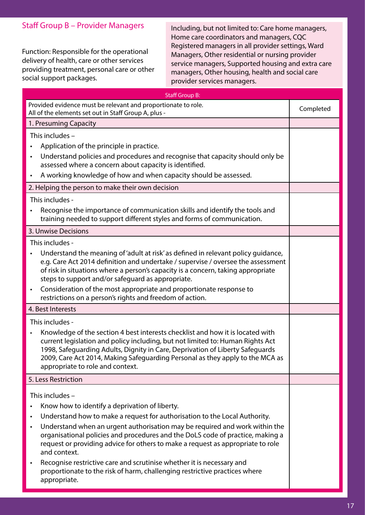#### Staff Group B – Provider Managers

Function: Responsible for the operational delivery of health, care or other services providing treatment, personal care or other social support packages.

Including, but not limited to: Care home managers, Home care coordinators and managers, CQC Registered managers in all provider settings, Ward Managers, Other residential or nursing provider service managers, Supported housing and extra care managers, Other housing, health and social care provider services managers.

| <b>Staff Group B:</b>                                                                                                                                                                                                                                                                                                                                                                                                                                                                                                                            |           |
|--------------------------------------------------------------------------------------------------------------------------------------------------------------------------------------------------------------------------------------------------------------------------------------------------------------------------------------------------------------------------------------------------------------------------------------------------------------------------------------------------------------------------------------------------|-----------|
| Provided evidence must be relevant and proportionate to role.<br>All of the elements set out in Staff Group A, plus -                                                                                                                                                                                                                                                                                                                                                                                                                            | Completed |
| 1. Presuming Capacity                                                                                                                                                                                                                                                                                                                                                                                                                                                                                                                            |           |
| This includes -                                                                                                                                                                                                                                                                                                                                                                                                                                                                                                                                  |           |
| Application of the principle in practice.<br>$\bullet$                                                                                                                                                                                                                                                                                                                                                                                                                                                                                           |           |
| Understand policies and procedures and recognise that capacity should only be<br>$\bullet$<br>assessed where a concern about capacity is identified.                                                                                                                                                                                                                                                                                                                                                                                             |           |
| A working knowledge of how and when capacity should be assessed.<br>$\bullet$                                                                                                                                                                                                                                                                                                                                                                                                                                                                    |           |
| 2. Helping the person to make their own decision                                                                                                                                                                                                                                                                                                                                                                                                                                                                                                 |           |
| This includes -                                                                                                                                                                                                                                                                                                                                                                                                                                                                                                                                  |           |
| Recognise the importance of communication skills and identify the tools and<br>training needed to support different styles and forms of communication.                                                                                                                                                                                                                                                                                                                                                                                           |           |
| 3. Unwise Decisions                                                                                                                                                                                                                                                                                                                                                                                                                                                                                                                              |           |
| This includes -                                                                                                                                                                                                                                                                                                                                                                                                                                                                                                                                  |           |
| Understand the meaning of 'adult at risk' as defined in relevant policy guidance,<br>e.g. Care Act 2014 definition and undertake / supervise / oversee the assessment<br>of risk in situations where a person's capacity is a concern, taking appropriate<br>steps to support and/or safeguard as appropriate.<br>Consideration of the most appropriate and proportionate response to<br>$\bullet$<br>restrictions on a person's rights and freedom of action.                                                                                   |           |
| 4. Best Interests                                                                                                                                                                                                                                                                                                                                                                                                                                                                                                                                |           |
| This includes -                                                                                                                                                                                                                                                                                                                                                                                                                                                                                                                                  |           |
| Knowledge of the section 4 best interests checklist and how it is located with<br>$\bullet$<br>current legislation and policy including, but not limited to: Human Rights Act<br>1998, Safeguarding Adults, Dignity in Care, Deprivation of Liberty Safeguards<br>2009, Care Act 2014, Making Safeguarding Personal as they apply to the MCA as<br>appropriate to role and context.                                                                                                                                                              |           |
| 5. Less Restriction                                                                                                                                                                                                                                                                                                                                                                                                                                                                                                                              |           |
| This includes -<br>Know how to identify a deprivation of liberty.<br>$\bullet$<br>Understand how to make a request for authorisation to the Local Authority.<br>$\bullet$<br>Understand when an urgent authorisation may be required and work within the<br>$\bullet$<br>organisational policies and procedures and the DoLS code of practice, making a<br>request or providing advice for others to make a request as appropriate to role<br>and context.<br>Recognise restrictive care and scrutinise whether it is necessary and<br>$\bullet$ |           |
| proportionate to the risk of harm, challenging restrictive practices where<br>appropriate.                                                                                                                                                                                                                                                                                                                                                                                                                                                       |           |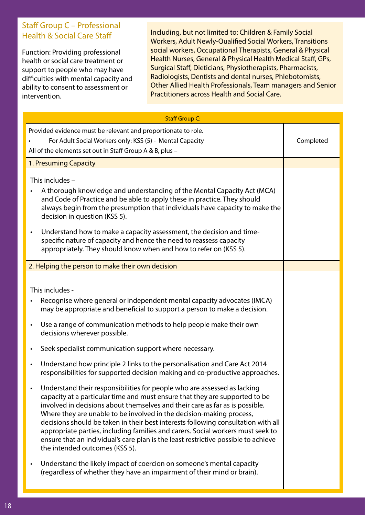#### Staff Group C – Professional Health & Social Care Staff

Function: Providing professional health or social care treatment or support to people who may have difficulties with mental capacity and ability to consent to assessment or intervention.

Including, but not limited to: Children & Family Social Workers, Adult Newly-Qualified Social Workers, Transitions social workers, Occupational Therapists, General & Physical Health Nurses, General & Physical Health Medical Staff, GPs, Surgical Staff, Dieticians, Physiotherapists, Pharmacists, Radiologists, Dentists and dental nurses, Phlebotomists, Other Allied Health Professionals, Team managers and Senior Practitioners across Health and Social Care.

|           | <b>Staff Group C:</b>                                                                                                                                                                                                                                                                                                                                                                                                                                                                                                                                                                                           |           |
|-----------|-----------------------------------------------------------------------------------------------------------------------------------------------------------------------------------------------------------------------------------------------------------------------------------------------------------------------------------------------------------------------------------------------------------------------------------------------------------------------------------------------------------------------------------------------------------------------------------------------------------------|-----------|
|           | Provided evidence must be relevant and proportionate to role.<br>For Adult Social Workers only: KSS (5) - Mental Capacity<br>All of the elements set out in Staff Group A & B, plus -                                                                                                                                                                                                                                                                                                                                                                                                                           | Completed |
|           | 1. Presuming Capacity                                                                                                                                                                                                                                                                                                                                                                                                                                                                                                                                                                                           |           |
| $\bullet$ | This includes -<br>A thorough knowledge and understanding of the Mental Capacity Act (MCA)<br>and Code of Practice and be able to apply these in practice. They should<br>always begin from the presumption that individuals have capacity to make the<br>decision in question (KSS 5).<br>Understand how to make a capacity assessment, the decision and time-<br>specific nature of capacity and hence the need to reassess capacity<br>appropriately. They should know when and how to refer on (KSS 5).                                                                                                     |           |
|           |                                                                                                                                                                                                                                                                                                                                                                                                                                                                                                                                                                                                                 |           |
|           | 2. Helping the person to make their own decision                                                                                                                                                                                                                                                                                                                                                                                                                                                                                                                                                                |           |
| $\bullet$ | This includes -<br>Recognise where general or independent mental capacity advocates (IMCA)<br>may be appropriate and beneficial to support a person to make a decision.<br>Use a range of communication methods to help people make their own<br>decisions wherever possible.                                                                                                                                                                                                                                                                                                                                   |           |
| $\bullet$ | Seek specialist communication support where necessary.                                                                                                                                                                                                                                                                                                                                                                                                                                                                                                                                                          |           |
| $\bullet$ | Understand how principle 2 links to the personalisation and Care Act 2014<br>responsibilities for supported decision making and co-productive approaches.                                                                                                                                                                                                                                                                                                                                                                                                                                                       |           |
|           | Understand their responsibilities for people who are assessed as lacking<br>capacity at a particular time and must ensure that they are supported to be<br>involved in decisions about themselves and their care as far as is possible.<br>Where they are unable to be involved in the decision-making process,<br>decisions should be taken in their best interests following consultation with all<br>appropriate parties, including families and carers. Social workers must seek to<br>ensure that an individual's care plan is the least restrictive possible to achieve<br>the intended outcomes (KSS 5). |           |
| $\bullet$ | Understand the likely impact of coercion on someone's mental capacity<br>(regardless of whether they have an impairment of their mind or brain).                                                                                                                                                                                                                                                                                                                                                                                                                                                                |           |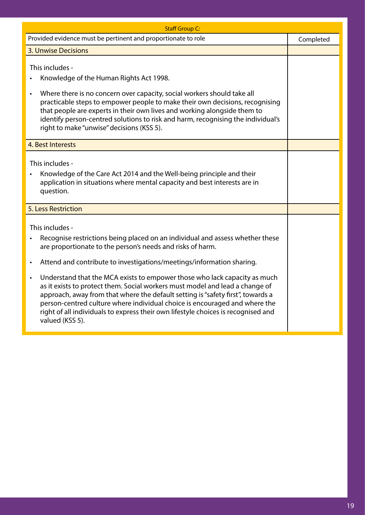| <b>Staff Group C:</b>                                                                                                                                                                                                                                                                                                                                                                                                                                                                                                                                                                                                                                                                                                |           |
|----------------------------------------------------------------------------------------------------------------------------------------------------------------------------------------------------------------------------------------------------------------------------------------------------------------------------------------------------------------------------------------------------------------------------------------------------------------------------------------------------------------------------------------------------------------------------------------------------------------------------------------------------------------------------------------------------------------------|-----------|
| Provided evidence must be pertinent and proportionate to role                                                                                                                                                                                                                                                                                                                                                                                                                                                                                                                                                                                                                                                        | Completed |
| <b>3. Unwise Decisions</b>                                                                                                                                                                                                                                                                                                                                                                                                                                                                                                                                                                                                                                                                                           |           |
| This includes -<br>Knowledge of the Human Rights Act 1998.<br>Where there is no concern over capacity, social workers should take all<br>$\bullet$<br>practicable steps to empower people to make their own decisions, recognising<br>that people are experts in their own lives and working alongside them to<br>identify person-centred solutions to risk and harm, recognising the individual's<br>right to make "unwise" decisions (KSS 5).                                                                                                                                                                                                                                                                      |           |
| 4. Best Interests                                                                                                                                                                                                                                                                                                                                                                                                                                                                                                                                                                                                                                                                                                    |           |
| This includes -<br>Knowledge of the Care Act 2014 and the Well-being principle and their<br>$\bullet$<br>application in situations where mental capacity and best interests are in<br>question.                                                                                                                                                                                                                                                                                                                                                                                                                                                                                                                      |           |
| 5. Less Restriction                                                                                                                                                                                                                                                                                                                                                                                                                                                                                                                                                                                                                                                                                                  |           |
| This includes -<br>Recognise restrictions being placed on an individual and assess whether these<br>$\bullet$<br>are proportionate to the person's needs and risks of harm.<br>Attend and contribute to investigations/meetings/information sharing.<br>$\bullet$<br>Understand that the MCA exists to empower those who lack capacity as much<br>$\bullet$<br>as it exists to protect them. Social workers must model and lead a change of<br>approach, away from that where the default setting is "safety first", towards a<br>person-centred culture where individual choice is encouraged and where the<br>right of all individuals to express their own lifestyle choices is recognised and<br>valued (KSS 5). |           |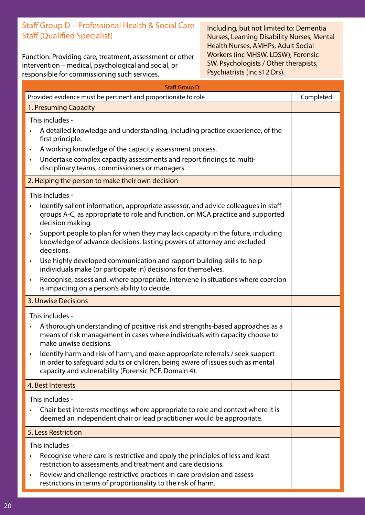#### Staff Group D – Professional Health & Social Care Staff (Qualified Specialist)

Function: Providing care, treatment, assessment or other intervention – medical, psychological and social, or responsible for commissioning such services.

Including, but not limited to: Dementia Nurses, Learning Disability Nurses, Mental Health Nurses, AMHPs, Adult Social Workers (inc MHSW, LDSW), Forensic SW, Psychologists / Other therapists, Psychiatrists (inc s12 Drs).

| <b>Staff Group D:</b>                                                                                                                                                                                                                                                                                                                                                                                                                                                                                                                                                                                                                                                                                                        |           |  |
|------------------------------------------------------------------------------------------------------------------------------------------------------------------------------------------------------------------------------------------------------------------------------------------------------------------------------------------------------------------------------------------------------------------------------------------------------------------------------------------------------------------------------------------------------------------------------------------------------------------------------------------------------------------------------------------------------------------------------|-----------|--|
| Provided evidence must be pertinent and proportionate to role                                                                                                                                                                                                                                                                                                                                                                                                                                                                                                                                                                                                                                                                | Completed |  |
| 1. Presuming Capacity                                                                                                                                                                                                                                                                                                                                                                                                                                                                                                                                                                                                                                                                                                        |           |  |
| This includes -<br>A detailed knowledge and understanding, including practice experience, of the<br>first principle.                                                                                                                                                                                                                                                                                                                                                                                                                                                                                                                                                                                                         |           |  |
| A working knowledge of the capacity assessment process.<br>$\bullet$<br>Undertake complex capacity assessments and report findings to multi-<br>$\bullet$<br>disciplinary teams, commissioners or managers.                                                                                                                                                                                                                                                                                                                                                                                                                                                                                                                  |           |  |
| 2. Helping the person to make their own decision                                                                                                                                                                                                                                                                                                                                                                                                                                                                                                                                                                                                                                                                             |           |  |
| This includes -<br>Identify salient information, appropriate assessor, and advice colleagues in staff<br>$\bullet$<br>groups A-C, as appropriate to role and function, on MCA practice and supported<br>decision making.<br>Support people to plan for when they may lack capacity in the future, including<br>$\bullet$<br>knowledge of advance decisions, lasting powers of attorney and excluded<br>decisions.<br>Use highly developed communication and rapport-building skills to help<br>$\bullet$<br>individuals make (or participate in) decisions for themselves.<br>Recognise, assess and, where appropriate, intervene in situations where coercion<br>$\bullet$<br>is impacting on a person's ability to decide. |           |  |
| 3. Unwise Decisions                                                                                                                                                                                                                                                                                                                                                                                                                                                                                                                                                                                                                                                                                                          |           |  |
| This includes -<br>A thorough understanding of positive risk and strengths-based approaches as a<br>$\bullet$<br>means of risk management in cases where individuals with capacity choose to<br>make unwise decisions.<br>Identify harm and risk of harm, and make appropriate referrals / seek support<br>$\bullet$<br>in order to safeguard adults or children, being aware of issues such as mental<br>capacity and vulnerability (Forensic PCF, Domain 4).                                                                                                                                                                                                                                                               |           |  |
| 4. Best Interests                                                                                                                                                                                                                                                                                                                                                                                                                                                                                                                                                                                                                                                                                                            |           |  |
| This includes -<br>Chair best interests meetings where appropriate to role and context where it is<br>deemed an independent chair or lead practitioner would be appropriate.                                                                                                                                                                                                                                                                                                                                                                                                                                                                                                                                                 |           |  |
| 5. Less Restriction                                                                                                                                                                                                                                                                                                                                                                                                                                                                                                                                                                                                                                                                                                          |           |  |
| This includes -<br>Recognise where care is restrictive and apply the principles of less and least<br>$\bullet$<br>restriction to assessments and treatment and care decisions.<br>Review and challenge restrictive practices in care provision and assess<br>$\bullet$<br>restrictions in terms of proportionality to the risk of harm.                                                                                                                                                                                                                                                                                                                                                                                      |           |  |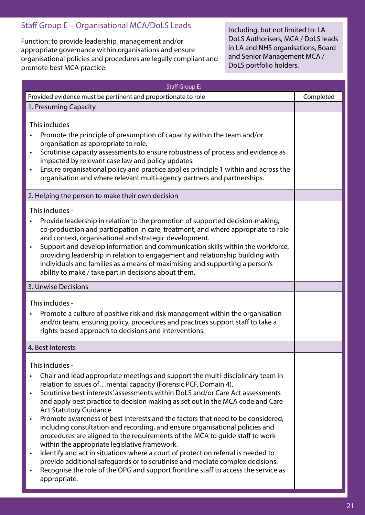#### Staff Group E – Organisational MCA/DoLS Leads

Function: to provide leadership, management and/or appropriate governance within organisations and ensure organisational policies and procedures are legally compliant and promote best MCA practice.

Including, but not limited to: LA DoLS Authorisers, MCA / DoLS leads in LA and NHS organisations, Board and Senior Management MCA / DoLS portfolio holders.

| <b>Staff Group E:</b>                                                                                                                                                                                                                                                                                                                                                                                                                                                                                                                                                                                                                                                                                                                                                                                                                                                                                                                                                                                 |           |
|-------------------------------------------------------------------------------------------------------------------------------------------------------------------------------------------------------------------------------------------------------------------------------------------------------------------------------------------------------------------------------------------------------------------------------------------------------------------------------------------------------------------------------------------------------------------------------------------------------------------------------------------------------------------------------------------------------------------------------------------------------------------------------------------------------------------------------------------------------------------------------------------------------------------------------------------------------------------------------------------------------|-----------|
| Provided evidence must be pertinent and proportionate to role                                                                                                                                                                                                                                                                                                                                                                                                                                                                                                                                                                                                                                                                                                                                                                                                                                                                                                                                         | Completed |
| 1. Presuming Capacity                                                                                                                                                                                                                                                                                                                                                                                                                                                                                                                                                                                                                                                                                                                                                                                                                                                                                                                                                                                 |           |
| This includes -<br>Promote the principle of presumption of capacity within the team and/or<br>organisation as appropriate to role.<br>Scrutinise capacity assessments to ensure robustness of process and evidence as<br>$\bullet$<br>impacted by relevant case law and policy updates.<br>Ensure organisational policy and practice applies principle 1 within and across the<br>organisation and where relevant multi-agency partners and partnerships.                                                                                                                                                                                                                                                                                                                                                                                                                                                                                                                                             |           |
| 2. Helping the person to make their own decision                                                                                                                                                                                                                                                                                                                                                                                                                                                                                                                                                                                                                                                                                                                                                                                                                                                                                                                                                      |           |
| This includes -<br>Provide leadership in relation to the promotion of supported decision-making,<br>co-production and participation in care, treatment, and where appropriate to role<br>and context, organisational and strategic development.<br>Support and develop information and communication skills within the workforce,<br>$\bullet$<br>providing leadership in relation to engagement and relationship building with<br>individuals and families as a means of maximising and supporting a person's<br>ability to make / take part in decisions about them.                                                                                                                                                                                                                                                                                                                                                                                                                                |           |
| 3. Unwise Decisions                                                                                                                                                                                                                                                                                                                                                                                                                                                                                                                                                                                                                                                                                                                                                                                                                                                                                                                                                                                   |           |
| This includes -<br>Promote a culture of positive risk and risk management within the organisation<br>$\bullet$<br>and/or team, ensuring policy, procedures and practices support staff to take a<br>rights-based approach to decisions and interventions.                                                                                                                                                                                                                                                                                                                                                                                                                                                                                                                                                                                                                                                                                                                                             |           |
| 4. Best Interests                                                                                                                                                                                                                                                                                                                                                                                                                                                                                                                                                                                                                                                                                                                                                                                                                                                                                                                                                                                     |           |
| This includes -<br>Chair and lead appropriate meetings and support the multi-disciplinary team in<br>$\bullet$<br>relation to issues ofmental capacity (Forensic PCF, Domain 4).<br>Scrutinise best interests' assessments within DoLS and/or Care Act assessments<br>and apply best practice to decision making as set out in the MCA code and Care<br>Act Statutory Guidance.<br>Promote awareness of best interests and the factors that need to be considered,<br>$\bullet$<br>including consultation and recording, and ensure organisational policies and<br>procedures are aligned to the requirements of the MCA to guide staff to work<br>within the appropriate legislative framework.<br>Identify and act in situations where a court of protection referral is needed to<br>$\bullet$<br>provide additional safeguards or to scrutinise and mediate complex decisions.<br>Recognise the role of the OPG and support frontline staff to access the service as<br>$\bullet$<br>appropriate. |           |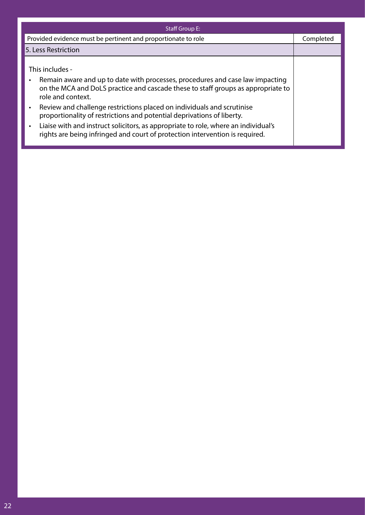| <b>Staff Group E:</b>                                                                                                                                                                                                                                                                                                                                                                                                                                                                                                                                                      |           |
|----------------------------------------------------------------------------------------------------------------------------------------------------------------------------------------------------------------------------------------------------------------------------------------------------------------------------------------------------------------------------------------------------------------------------------------------------------------------------------------------------------------------------------------------------------------------------|-----------|
| Provided evidence must be pertinent and proportionate to role                                                                                                                                                                                                                                                                                                                                                                                                                                                                                                              | Completed |
| 5. Less Restriction                                                                                                                                                                                                                                                                                                                                                                                                                                                                                                                                                        |           |
| This includes -<br>Remain aware and up to date with processes, procedures and case law impacting<br>$\bullet$<br>on the MCA and DoLS practice and cascade these to staff groups as appropriate to<br>role and context.<br>Review and challenge restrictions placed on individuals and scrutinise<br>$\bullet$<br>proportionality of restrictions and potential deprivations of liberty.<br>Liaise with and instruct solicitors, as appropriate to role, where an individual's<br>$\bullet$<br>rights are being infringed and court of protection intervention is required. |           |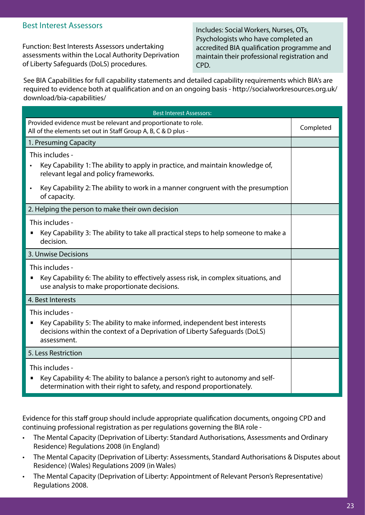#### Best Interest Assessors

Function: Best Interests Assessors undertaking assessments within the Local Authority Deprivation of Liberty Safeguards (DoLS) procedures.

Includes: Social Workers, Nurses, OTs, Psychologists who have completed an accredited BIA qualification programme and maintain their professional registration and CPD.

See BIA Capabilities for full capability statements and detailed capability requirements which BIA's are required to evidence both at qualification and on an ongoing basis - http://socialworkresources.org.uk/ download/bia-capabilities/

| <b>Best Interest Assessors:</b>                                                                                                                                                                              |           |
|--------------------------------------------------------------------------------------------------------------------------------------------------------------------------------------------------------------|-----------|
| Provided evidence must be relevant and proportionate to role.<br>All of the elements set out in Staff Group A, B, C & D plus -                                                                               | Completed |
| 1. Presuming Capacity                                                                                                                                                                                        |           |
| This includes -<br>Key Capability 1: The ability to apply in practice, and maintain knowledge of,<br>$\bullet$<br>relevant legal and policy frameworks.                                                      |           |
| Key Capability 2: The ability to work in a manner congruent with the presumption<br>$\bullet$<br>of capacity.                                                                                                |           |
| 2. Helping the person to make their own decision                                                                                                                                                             |           |
| This includes -<br>Key Capability 3: The ability to take all practical steps to help someone to make a<br>п<br>decision.                                                                                     |           |
| 3. Unwise Decisions                                                                                                                                                                                          |           |
| This includes -<br>Key Capability 6: The ability to effectively assess risk, in complex situations, and<br>п<br>use analysis to make proportionate decisions.                                                |           |
| 4. Best Interests                                                                                                                                                                                            |           |
| This includes -<br>Key Capability 5: The ability to make informed, independent best interests<br>$\blacksquare$<br>decisions within the context of a Deprivation of Liberty Safeguards (DoLS)<br>assessment. |           |
| 5. Less Restriction                                                                                                                                                                                          |           |
| This includes -<br>Key Capability 4: The ability to balance a person's right to autonomy and self-<br>П<br>determination with their right to safety, and respond proportionately.                            |           |

Evidence for this staff group should include appropriate qualification documents, ongoing CPD and continuing professional registration as per regulations governing the BIA role -

- The Mental Capacity (Deprivation of Liberty: Standard Authorisations, Assessments and Ordinary Residence) Regulations 2008 (in England)
- The Mental Capacity (Deprivation of Liberty: Assessments, Standard Authorisations & Disputes about Residence) (Wales) Regulations 2009 (in Wales)
- The Mental Capacity (Deprivation of Liberty: Appointment of Relevant Person's Representative) Regulations 2008.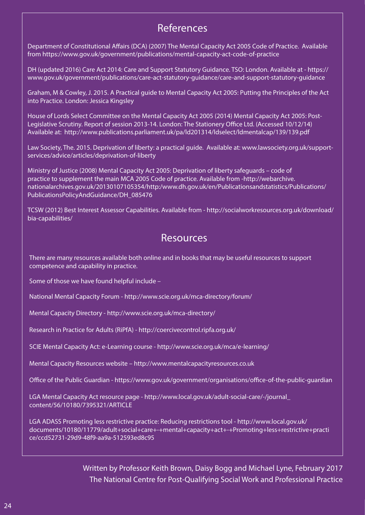# References

Department of Constitutional Affairs (DCA) (2007) The Mental Capacity Act 2005 Code of Practice. Available from https://www.gov.uk/government/publications/mental-capacity-act-code-of-practice

DH (updated 2016) Care Act 2014: Care and Support Statutory Guidance. TSO: London. Available at - https:// www.gov.uk/government/publications/care-act-statutory-guidance/care-and-support-statutory-guidance

Graham, M & Cowley, J. 2015. A Practical guide to Mental Capacity Act 2005: Putting the Principles of the Act into Practice. London: Jessica Kingsley

House of Lords Select Committee on the Mental Capacity Act 2005 (2014) Mental Capacity Act 2005: Post-Legislative Scrutiny. Report of session 2013-14. London: The Stationery Office Ltd. (Accessed 10/12/14) Available at: http://www.publications.parliament.uk/pa/ld201314/ldselect/ldmentalcap/139/139.pdf

Law Society, The. 2015. Deprivation of liberty: a practical guide. Available at: www.lawsociety.org.uk/supportservices/advice/articles/deprivation-of-liberty

Ministry of Justice (2008) Mental Capacity Act 2005: Deprivation of liberty safeguards – code of practice to supplement the main MCA 2005 Code of practice. Available from -http://webarchive. nationalarchives.gov.uk/20130107105354/http:/www.dh.gov.uk/en/Publicationsandstatistics/Publications/ PublicationsPolicyAndGuidance/DH\_085476

TCSW (2012) Best Interest Assessor Capabilities. Available from - http://socialworkresources.org.uk/download/ bia-capabilities/

# Resources

There are many resources available both online and in books that may be useful resources to support competence and capability in practice.

Some of those we have found helpful include –

National Mental Capacity Forum - http://www.scie.org.uk/mca-directory/forum/

Mental Capacity Directory - http://www.scie.org.uk/mca-directory/

Research in Practice for Adults (RiPfA) - http://coercivecontrol.ripfa.org.uk/

SCIE Mental Capacity Act: e-Learning course - http://www.scie.org.uk/mca/e-learning/

Mental Capacity Resources website – http://www.mentalcapacityresources.co.uk

Office of the Public Guardian - https://www.gov.uk/government/organisations/office-of-the-public-guardian

LGA Mental Capacity Act resource page - http://www.local.gov.uk/adult-social-care/-/journal\_ content/56/10180/7395321/ARTICLE

LGA ADASS Promoting less restrictive practice: Reducing restrictions tool - http://www.local.gov.uk/ documents/10180/11779/adult+social+care+-+mental+capacity+act+-+Promoting+less+restrictive+practi ce/ccd52731-29d9-48f9-aa9a-512593ed8c95

> Written by Professor Keith Brown, Daisy Bogg and Michael Lyne, February 2017 The National Centre for Post-Qualifying Social Work and Professional Practice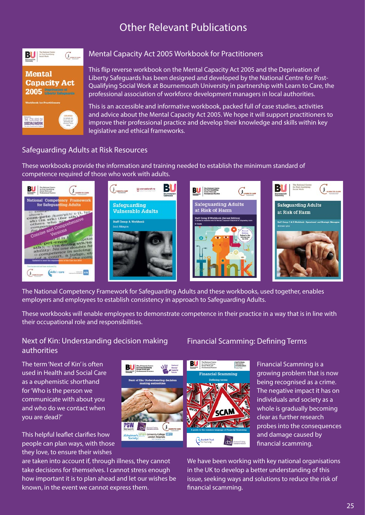# Other Relevant Publications



#### Mental Capacity Act 2005 Workbook for Practitioners

This flip reverse workbook on the Mental Capacity Act 2005 and the Deprivation of Liberty Safeguards has been designed and developed by the National Centre for Post-Qualifying Social Work at Bournemouth University in partnership with Learn to Care, the professional association of workforce development managers in local authorities.

This is an accessible and informative workbook, packed full of case studies, activities and advice about the Mental Capacity Act 2005. We hope it will support practitioners to improve their professional practice and develop their knowledge and skills within key legislative and ethical frameworks.

#### Safeguarding Adults at Risk Resources

These workbooks provide the information and training needed to establish the minimum standard of competence required of those who work with adults.



The National Competency Framework for Safeguarding Adults and these workbooks, used together, enables employers and employees to establish consistency in approach to Safeguarding Adults.

These workbooks will enable employees to demonstrate competence in their practice in a way that is in line with their occupational role and responsibilities.

#### Next of Kin: Understanding decision making authorities

The term 'Next of Kin' is often used in Health and Social Care as a euphemistic shorthand for 'Who is the person we communicate with about you and who do we contact when you are dead?'

This helpful leaflet clarifies how people can plan ways, with those they love, to ensure their wishes

are taken into account if, through illness, they cannot take decisions for themselves. I cannot stress enough how important it is to plan ahead and let our wishes be known, in the event we cannot express them.

#### Financial Scamming: Defining Terms



Financial Scamming is a growing problem that is now being recognised as a crime. The negative impact it has on individuals and society as a whole is gradually becoming clear as further research probes into the consequences and damage caused by financial scamming.

We have been working with key national organisations in the UK to develop a better understanding of this issue, seeking ways and solutions to reduce the risk of financial scamming.